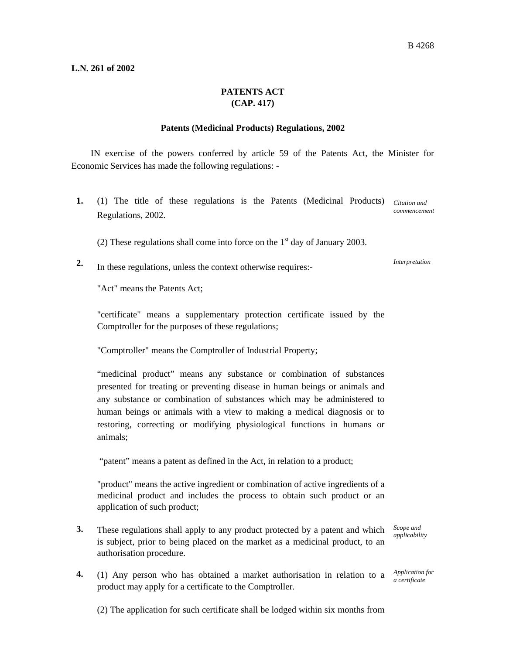## **L.N. 261 of 2002**

## **PATENTS ACT (CAP. 417)**

## **Patents (Medicinal Products) Regulations, 2002**

IN exercise of the powers conferred by article 59 of the Patents Act, the Minister for Economic Services has made the following regulations: -

- 1. (1) The title of these regulations is the Patents (Medicinal Products) Citation and Regulations, 2002. *commencement* 
	- (2) These regulations shall come into force on the  $1<sup>st</sup>$  day of January 2003.
- **2.** In these regulations, unless the context otherwise requires:-

*Interpretation* 

"Act" means the Patents Act;

"certificate" means a supplementary protection certificate issued by the Comptroller for the purposes of these regulations;

"Comptroller" means the Comptroller of Industrial Property;

"medicinal product" means any substance or combination of substances presented for treating or preventing disease in human beings or animals and any substance or combination of substances which may be administered to human beings or animals with a view to making a medical diagnosis or to restoring, correcting or modifying physiological functions in humans or animals;

"patent" means a patent as defined in the Act, in relation to a product;

"product" means the active ingredient or combination of active ingredients of a medicinal product and includes the process to obtain such product or an application of such product;

**3.** These regulations shall apply to any product protected by a patent and which is subject, prior to being placed on the market as a medicinal product, to an authorisation procedure.

*Scope and applicability* 

**4.** (1) Any person who has obtained a market authorisation in relation to a *Application for*  product may apply for a certificate to the Comptroller.

*a certificate* 

(2) The application for such certificate shall be lodged within six months from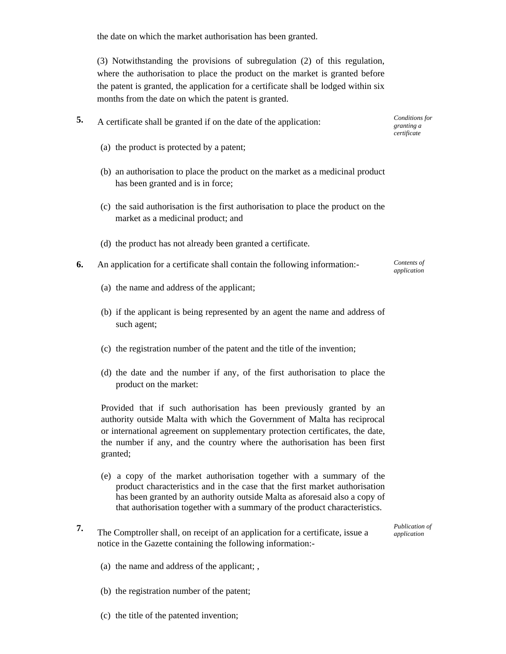the date on which the market authorisation has been granted.

(3) Notwithstanding the provisions of subregulation (2) of this regulation, where the authorisation to place the product on the market is granted before the patent is granted, the application for a certificate shall be lodged within six months from the date on which the patent is granted.

- **5.** A certificate shall be granted if on the date of the application:
	- (a) the product is protected by a patent;
	- (b) an authorisation to place the product on the market as a medicinal product has been granted and is in force;
	- (c) the said authorisation is the first authorisation to place the product on the market as a medicinal product; and
	- (d) the product has not already been granted a certificate.
- **6.** An application for a certificate shall contain the following information:-
	- (a) the name and address of the applicant;
	- (b) if the applicant is being represented by an agent the name and address of such agent;
	- (c) the registration number of the patent and the title of the invention;
	- (d) the date and the number if any, of the first authorisation to place the product on the market:

Provided that if such authorisation has been previously granted by an authority outside Malta with which the Government of Malta has reciprocal or international agreement on supplementary protection certificates, the date, the number if any, and the country where the authorisation has been first granted;

- (e) a copy of the market authorisation together with a summary of the product characteristics and in the case that the first market authorisation has been granted by an authority outside Malta as aforesaid also a copy of that authorisation together with a summary of the product characteristics.
- **7.** The Comptroller shall, on receipt of an application for a certificate, issue a notice in the Gazette containing the following information:-

*Publication of application* 

- (a) the name and address of the applicant; ,
- (b) the registration number of the patent;
- (c) the title of the patented invention;

*Conditions for granting a certificate* 

*Contents of application*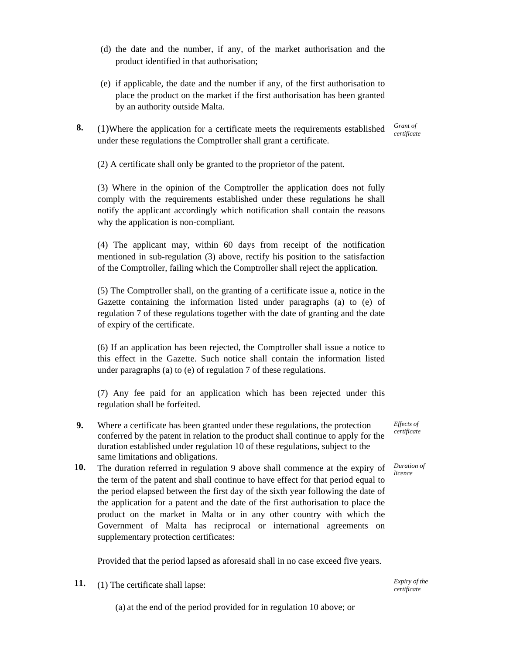- (d) the date and the number, if any, of the market authorisation and the product identified in that authorisation;
- (e) if applicable, the date and the number if any, of the first authorisation to place the product on the market if the first authorisation has been granted by an authority outside Malta.
- **8.** (1)Where the application for a certificate meets the requirements established under these regulations the Comptroller shall grant a certificate.

*Grant of certificate* 

(2) A certificate shall only be granted to the proprietor of the patent.

(3) Where in the opinion of the Comptroller the application does not fully comply with the requirements established under these regulations he shall notify the applicant accordingly which notification shall contain the reasons why the application is non-compliant.

(4) The applicant may, within 60 days from receipt of the notification mentioned in sub-regulation (3) above, rectify his position to the satisfaction of the Comptroller, failing which the Comptroller shall reject the application.

(5) The Comptroller shall, on the granting of a certificate issue a, notice in the Gazette containing the information listed under paragraphs (a) to (e) of regulation 7 of these regulations together with the date of granting and the date of expiry of the certificate.

(6) If an application has been rejected, the Comptroller shall issue a notice to this effect in the Gazette. Such notice shall contain the information listed under paragraphs (a) to (e) of regulation 7 of these regulations.

(7) Any fee paid for an application which has been rejected under this regulation shall be forfeited.

- **9.** Where a certificate has been granted under these regulations, the protection conferred by the patent in relation to the product shall continue to apply for the duration established under regulation 10 of these regulations, subject to the same limitations and obligations.
- **10.** The duration referred in regulation 9 above shall commence at the expiry of the term of the patent and shall continue to have effect for that period equal to the period elapsed between the first day of the sixth year following the date of the application for a patent and the date of the first authorisation to place the product on the market in Malta or in any other country with which the Government of Malta has reciprocal or international agreements on supplementary protection certificates:

Provided that the period lapsed as aforesaid shall in no case exceed five years.

**11.** (1) The certificate shall lapse:

(a) at the end of the period provided for in regulation 10 above; or

*Effects of certificate* 

*Duration of licence* 

*Expiry of the certificate*